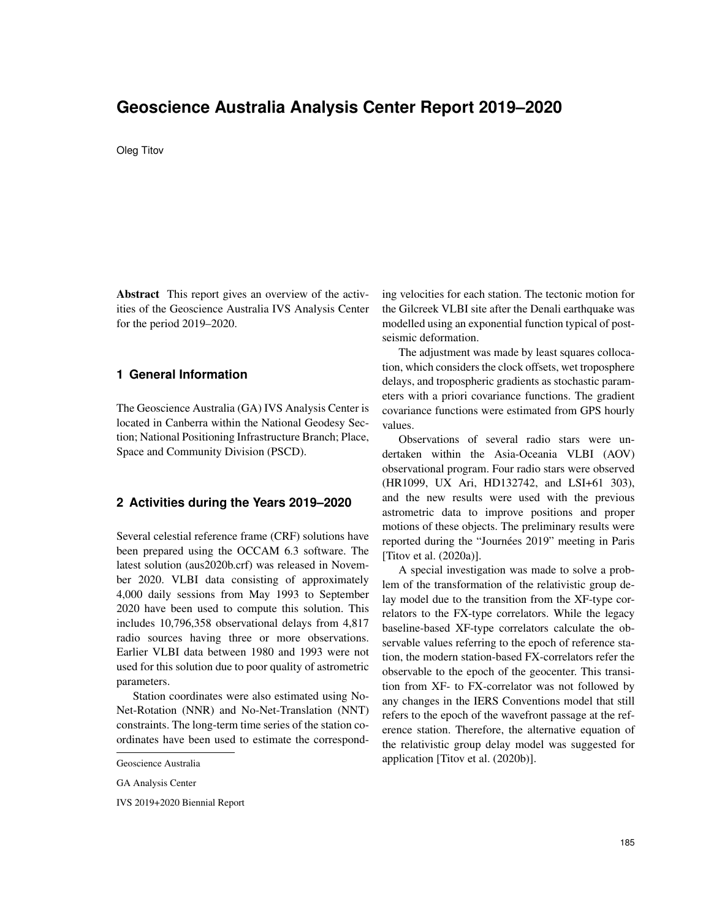# **Geoscience Australia Analysis Center Report 2019–2020**

#### Oleg Titov

Abstract This report gives an overview of the activities of the Geoscience Australia IVS Analysis Center for the period 2019–2020.

### **1 General Information**

The Geoscience Australia (GA) IVS Analysis Center is located in Canberra within the National Geodesy Section; National Positioning Infrastructure Branch; Place, Space and Community Division (PSCD).

#### **2 Activities during the Years 2019–2020**

Several celestial reference frame (CRF) solutions have been prepared using the OCCAM 6.3 software. The latest solution (aus2020b.crf) was released in November 2020. VLBI data consisting of approximately 4,000 daily sessions from May 1993 to September 2020 have been used to compute this solution. This includes 10,796,358 observational delays from 4,817 radio sources having three or more observations. Earlier VLBI data between 1980 and 1993 were not used for this solution due to poor quality of astrometric parameters.

Station coordinates were also estimated using No-Net-Rotation (NNR) and No-Net-Translation (NNT) constraints. The long-term time series of the station coordinates have been used to estimate the correspond-

IVS 2019+2020 Biennial Report

ing velocities for each station. The tectonic motion for the Gilcreek VLBI site after the Denali earthquake was modelled using an exponential function typical of postseismic deformation.

The adjustment was made by least squares collocation, which considers the clock offsets, wet troposphere delays, and tropospheric gradients as stochastic parameters with a priori covariance functions. The gradient covariance functions were estimated from GPS hourly values.

Observations of several radio stars were undertaken within the Asia-Oceania VLBI (AOV) observational program. Four radio stars were observed (HR1099, UX Ari, HD132742, and LSI+61 303), and the new results were used with the previous astrometric data to improve positions and proper motions of these objects. The preliminary results were reported during the "Journées 2019" meeting in Paris [Titov et al. (2020a)].

A special investigation was made to solve a problem of the transformation of the relativistic group delay model due to the transition from the XF-type correlators to the FX-type correlators. While the legacy baseline-based XF-type correlators calculate the observable values referring to the epoch of reference station, the modern station-based FX-correlators refer the observable to the epoch of the geocenter. This transition from XF- to FX-correlator was not followed by any changes in the IERS Conventions model that still refers to the epoch of the wavefront passage at the reference station. Therefore, the alternative equation of the relativistic group delay model was suggested for application [Titov et al. (2020b)].

Geoscience Australia

GA Analysis Center